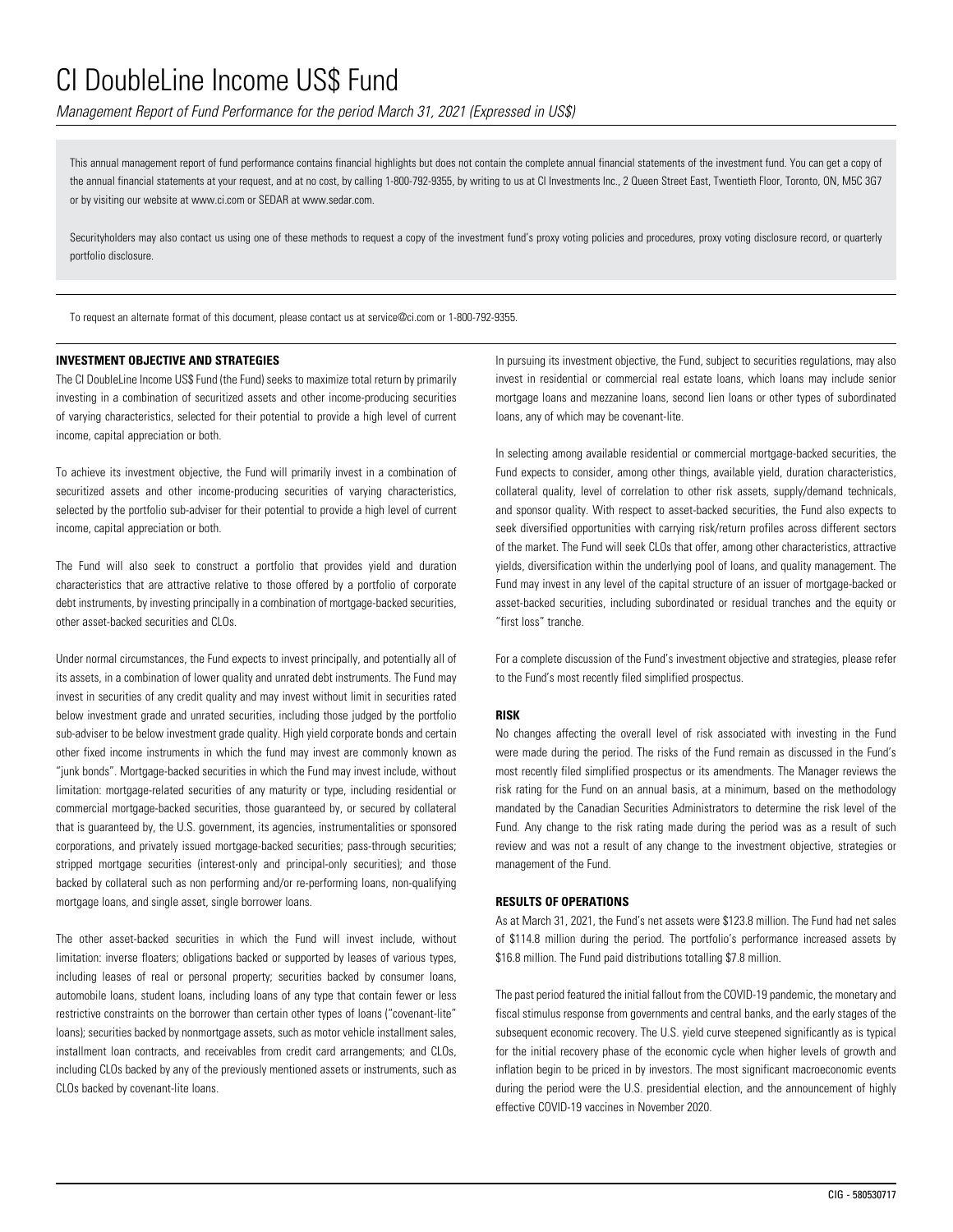*Management Report of Fund Performance for the period March 31, 2021 (Expressed in US\$)*

This annual management report of fund performance contains financial highlights but does not contain the complete annual financial statements of the investment fund. You can get a copy of the annual financial statements at your request, and at no cost, by calling 1-800-792-9355, by writing to us at CI Investments Inc., 2 Queen Street East, Twentieth Floor, Toronto, ON, M5C 3G7 or by visiting our website at www.ci.com or SEDAR at www.sedar.com.

Securityholders may also contact us using one of these methods to request a copy of the investment fund's proxy voting policies and procedures, proxy voting disclosure record, or quarterly portfolio disclosure.

To request an alternate format of this document, please contact us at service@ci.com or 1-800-792-9355.

### **INVESTMENT OBJECTIVE AND STRATEGIES**

The CI DoubleLine Income US\$ Fund (the Fund) seeks to maximize total return by primarily investing in a combination of securitized assets and other income-producing securities of varying characteristics, selected for their potential to provide a high level of current income, capital appreciation or both.

To achieve its investment objective, the Fund will primarily invest in a combination of securitized assets and other income-producing securities of varying characteristics, selected by the portfolio sub-adviser for their potential to provide a high level of current income, capital appreciation or both.

The Fund will also seek to construct a portfolio that provides yield and duration characteristics that are attractive relative to those offered by a portfolio of corporate debt instruments, by investing principally in a combination of mortgage-backed securities, other asset-backed securities and CLOs.

Under normal circumstances, the Fund expects to invest principally, and potentially all of its assets, in a combination of lower quality and unrated debt instruments. The Fund may invest in securities of any credit quality and may invest without limit in securities rated below investment grade and unrated securities, including those judged by the portfolio sub-adviser to be below investment grade quality. High yield corporate bonds and certain other fixed income instruments in which the fund may invest are commonly known as "junk bonds". Mortgage-backed securities in which the Fund may invest include, without limitation: mortgage-related securities of any maturity or type, including residential or commercial mortgage-backed securities, those guaranteed by, or secured by collateral that is guaranteed by, the U.S. government, its agencies, instrumentalities or sponsored corporations, and privately issued mortgage-backed securities; pass-through securities; stripped mortgage securities (interest-only and principal-only securities); and those backed by collateral such as non performing and/or re-performing loans, non-qualifying mortgage loans, and single asset, single borrower loans.

The other asset-backed securities in which the Fund will invest include, without limitation: inverse floaters; obligations backed or supported by leases of various types, including leases of real or personal property; securities backed by consumer loans, automobile loans, student loans, including loans of any type that contain fewer or less restrictive constraints on the borrower than certain other types of loans ("covenant-lite" loans); securities backed by nonmortgage assets, such as motor vehicle installment sales, installment loan contracts, and receivables from credit card arrangements; and CLOs, including CLOs backed by any of the previously mentioned assets or instruments, such as CLOs backed by covenant-lite loans.

In pursuing its investment objective, the Fund, subject to securities regulations, may also invest in residential or commercial real estate loans, which loans may include senior mortgage loans and mezzanine loans, second lien loans or other types of subordinated loans, any of which may be covenant-lite.

In selecting among available residential or commercial mortgage-backed securities, the Fund expects to consider, among other things, available yield, duration characteristics, collateral quality, level of correlation to other risk assets, supply/demand technicals, and sponsor quality. With respect to asset-backed securities, the Fund also expects to seek diversified opportunities with carrying risk/return profiles across different sectors of the market. The Fund will seek CLOs that offer, among other characteristics, attractive yields, diversification within the underlying pool of loans, and quality management. The Fund may invest in any level of the capital structure of an issuer of mortgage-backed or asset-backed securities, including subordinated or residual tranches and the equity or "first loss" tranche.

For a complete discussion of the Fund's investment objective and strategies, please refer to the Fund's most recently filed simplified prospectus.

#### **RISK**

No changes affecting the overall level of risk associated with investing in the Fund were made during the period. The risks of the Fund remain as discussed in the Fund's most recently filed simplified prospectus or its amendments. The Manager reviews the risk rating for the Fund on an annual basis, at a minimum, based on the methodology mandated by the Canadian Securities Administrators to determine the risk level of the Fund. Any change to the risk rating made during the period was as a result of such review and was not a result of any change to the investment objective, strategies or management of the Fund.

### **RESULTS OF OPERATIONS**

As at March 31, 2021, the Fund's net assets were \$123.8 million. The Fund had net sales of \$114.8 million during the period. The portfolio's performance increased assets by \$16.8 million. The Fund paid distributions totalling \$7.8 million.

The past period featured the initial fallout from the COVID-19 pandemic, the monetary and fiscal stimulus response from governments and central banks, and the early stages of the subsequent economic recovery. The U.S. yield curve steepened significantly as is typical for the initial recovery phase of the economic cycle when higher levels of growth and inflation begin to be priced in by investors. The most significant macroeconomic events during the period were the U.S. presidential election, and the announcement of highly effective COVID-19 vaccines in November 2020.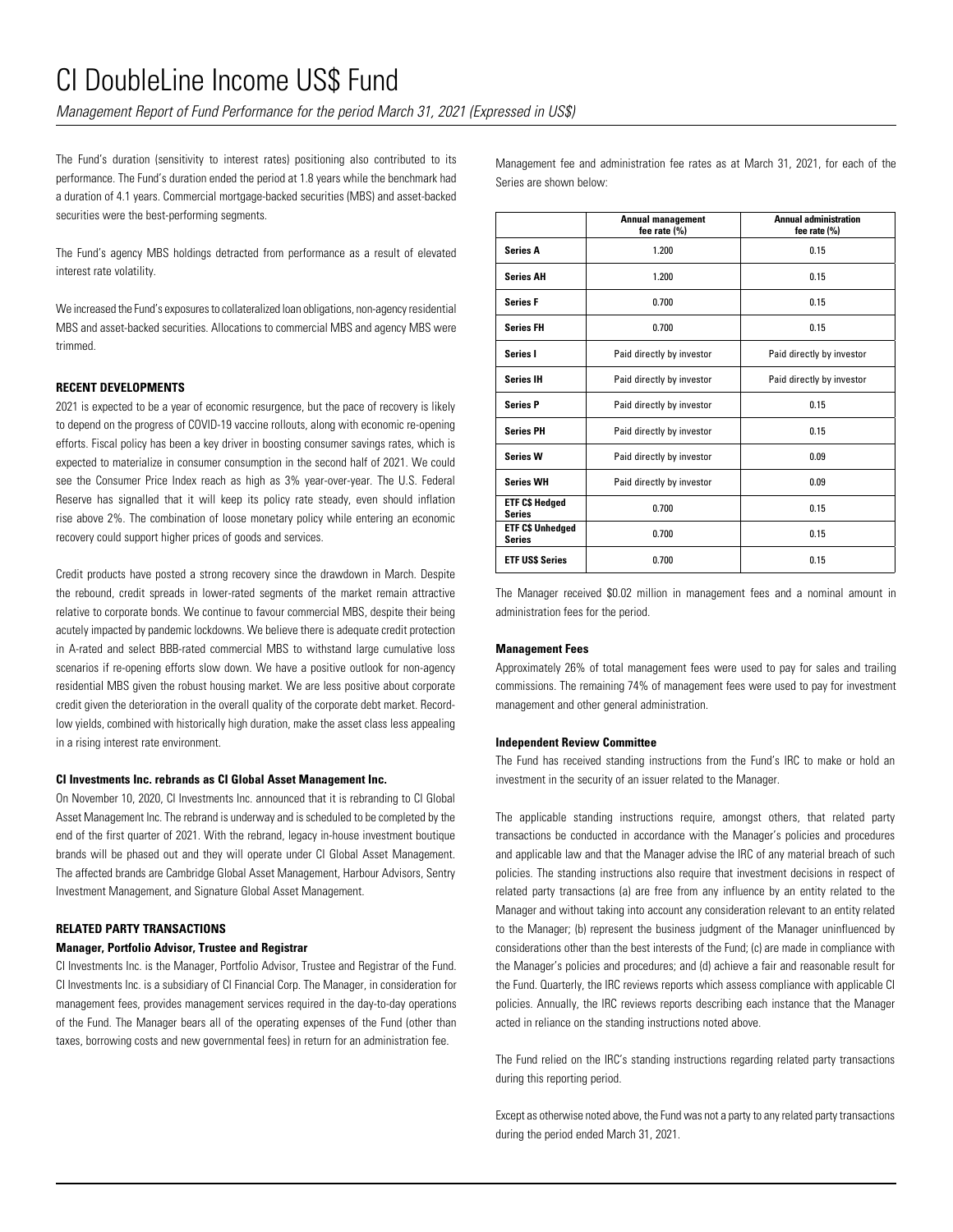*Management Report of Fund Performance for the period March 31, 2021 (Expressed in US\$)*

The Fund's duration (sensitivity to interest rates) positioning also contributed to its performance. The Fund's duration ended the period at 1.8 years while the benchmark had a duration of 4.1 years. Commercial mortgage-backed securities (MBS) and asset-backed securities were the best-performing segments.

The Fund's agency MBS holdings detracted from performance as a result of elevated interest rate volatility.

We increased the Fund's exposures to collateralized loan obligations, non-agency residential MBS and asset-backed securities. Allocations to commercial MBS and agency MBS were trimmed.

### **RECENT DEVELOPMENTS**

2021 is expected to be a year of economic resurgence, but the pace of recovery is likely to depend on the progress of COVID-19 vaccine rollouts, along with economic re-opening efforts. Fiscal policy has been a key driver in boosting consumer savings rates, which is expected to materialize in consumer consumption in the second half of 2021. We could see the Consumer Price Index reach as high as 3% year-over-year. The U.S. Federal Reserve has signalled that it will keep its policy rate steady, even should inflation rise above 2%. The combination of loose monetary policy while entering an economic recovery could support higher prices of goods and services.

Credit products have posted a strong recovery since the drawdown in March. Despite the rebound, credit spreads in lower-rated segments of the market remain attractive relative to corporate bonds. We continue to favour commercial MBS, despite their being acutely impacted by pandemic lockdowns. We believe there is adequate credit protection in A-rated and select BBB-rated commercial MBS to withstand large cumulative loss scenarios if re-opening efforts slow down. We have a positive outlook for non-agency residential MBS given the robust housing market. We are less positive about corporate credit given the deterioration in the overall quality of the corporate debt market. Recordlow yields, combined with historically high duration, make the asset class less appealing in a rising interest rate environment.

#### **CI Investments Inc. rebrands as CI Global Asset Management Inc.**

On November 10, 2020, CI Investments Inc. announced that it is rebranding to CI Global Asset Management Inc. The rebrand is underway and is scheduled to be completed by the end of the first quarter of 2021. With the rebrand, legacy in-house investment boutique brands will be phased out and they will operate under CI Global Asset Management. The affected brands are Cambridge Global Asset Management, Harbour Advisors, Sentry Investment Management, and Signature Global Asset Management.

### **RELATED PARTY TRANSACTIONS**

#### **Manager, Portfolio Advisor, Trustee and Registrar**

CI Investments Inc. is the Manager, Portfolio Advisor, Trustee and Registrar of the Fund. CI Investments Inc. is a subsidiary of CI Financial Corp. The Manager, in consideration for management fees, provides management services required in the day-to-day operations of the Fund. The Manager bears all of the operating expenses of the Fund (other than taxes, borrowing costs and new governmental fees) in return for an administration fee.

Management fee and administration fee rates as at March 31, 2021, for each of the Series are shown below:

|                                          | <b>Annual management</b><br>fee rate (%) | <b>Annual administration</b><br>fee rate (%) |
|------------------------------------------|------------------------------------------|----------------------------------------------|
| <b>Series A</b>                          | 1.200                                    | 0.15                                         |
| <b>Series AH</b>                         | 1.200                                    | 0.15                                         |
| <b>Series F</b>                          | 0.700                                    | 0.15                                         |
| <b>Series FH</b>                         | 0.700                                    | 0.15                                         |
| Series I                                 | Paid directly by investor                | Paid directly by investor                    |
| <b>Series IH</b>                         | Paid directly by investor                | Paid directly by investor                    |
| <b>Series P</b>                          | Paid directly by investor                | 0.15                                         |
| <b>Series PH</b>                         | Paid directly by investor                | 0.15                                         |
| <b>Series W</b>                          | Paid directly by investor                | 0.09                                         |
| <b>Series WH</b>                         | Paid directly by investor                | 0.09                                         |
| <b>ETF C\$ Hedged</b><br><b>Series</b>   | 0.700                                    | 0.15                                         |
| <b>ETF C\$ Unhedged</b><br><b>Series</b> | 0.700                                    | 0.15                                         |
| <b>ETF USS Series</b>                    | 0.700                                    | 0.15                                         |

The Manager received \$0.02 million in management fees and a nominal amount in administration fees for the period.

#### **Management Fees**

Approximately 26% of total management fees were used to pay for sales and trailing commissions. The remaining 74% of management fees were used to pay for investment management and other general administration.

#### **Independent Review Committee**

The Fund has received standing instructions from the Fund's IRC to make or hold an investment in the security of an issuer related to the Manager.

The applicable standing instructions require, amongst others, that related party transactions be conducted in accordance with the Manager's policies and procedures and applicable law and that the Manager advise the IRC of any material breach of such policies. The standing instructions also require that investment decisions in respect of related party transactions (a) are free from any influence by an entity related to the Manager and without taking into account any consideration relevant to an entity related to the Manager; (b) represent the business judgment of the Manager uninfluenced by considerations other than the best interests of the Fund; (c) are made in compliance with the Manager's policies and procedures; and (d) achieve a fair and reasonable result for the Fund. Quarterly, the IRC reviews reports which assess compliance with applicable CI policies. Annually, the IRC reviews reports describing each instance that the Manager acted in reliance on the standing instructions noted above.

The Fund relied on the IRC's standing instructions regarding related party transactions during this reporting period.

Except as otherwise noted above, the Fund was not a party to any related party transactions during the period ended March 31, 2021.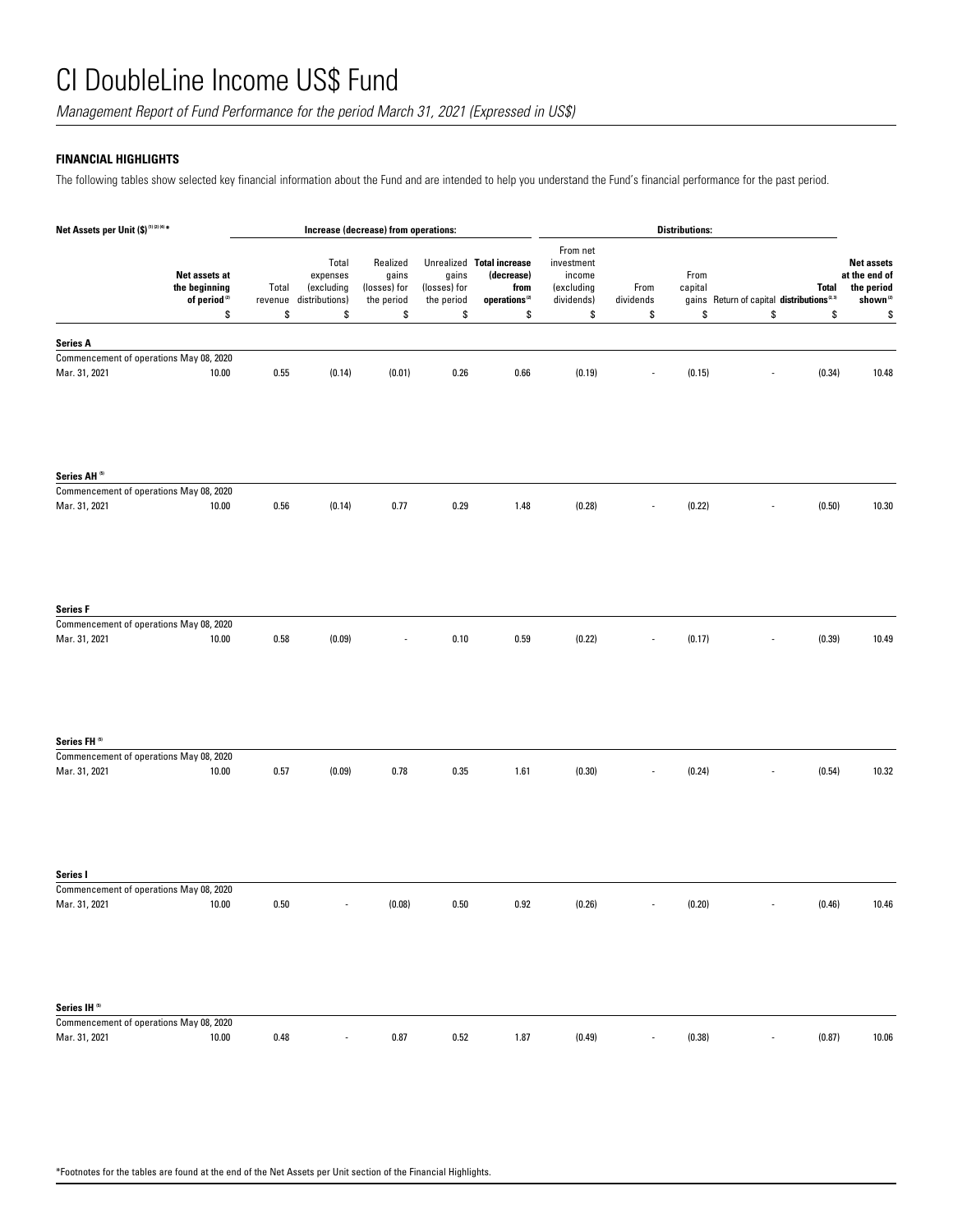*Management Report of Fund Performance for the period March 31, 2021 (Expressed in US\$)*

## **FINANCIAL HIGHLIGHTS**

The following tables show selected key financial information about the Fund and are intended to help you understand the Fund's financial performance for the past period.

| Net Assets per Unit (\$) <sup>(1)(2)(4)*</sup>                                       |             | Increase (decrease) from operations:                            |                                                       |                                           | <b>Distributions:</b>                                                                                    |                                                                    |                         |                       |                                                           |                    |                                                                                |
|--------------------------------------------------------------------------------------|-------------|-----------------------------------------------------------------|-------------------------------------------------------|-------------------------------------------|----------------------------------------------------------------------------------------------------------|--------------------------------------------------------------------|-------------------------|-----------------------|-----------------------------------------------------------|--------------------|--------------------------------------------------------------------------------|
| Net assets at<br>the beginning<br>of period <sup>(2)</sup><br>\$                     | Total<br>\$ | Total<br>expenses<br>(excluding<br>revenue distributions)<br>\$ | Realized<br>gains<br>(losses) for<br>the period<br>\$ | gains<br>(losses) for<br>the period<br>\$ | Unrealized Total increase<br>(decrease)<br>from<br>$\mathbf{operations}^{\scriptscriptstyle{(2)}}$<br>\$ | From net<br>investment<br>income<br>(excluding<br>dividends)<br>\$ | From<br>dividends<br>\$ | From<br>capital<br>\$ | gains Return of capital distributions <sup>®3</sup><br>\$ | <b>Total</b><br>\$ | <b>Net assets</b><br>at the end of<br>the period<br>shown <sup>(2)</sup><br>\$ |
| <b>Series A</b>                                                                      |             |                                                                 |                                                       |                                           |                                                                                                          |                                                                    |                         |                       |                                                           |                    |                                                                                |
| Commencement of operations May 08, 2020<br>Mar. 31, 2021<br>10.00                    | 0.55        | (0.14)                                                          | (0.01)                                                | 0.26                                      | 0.66                                                                                                     | (0.19)                                                             |                         | (0.15)                |                                                           | (0.34)             | 10.48                                                                          |
| Series AH <sup>(5)</sup>                                                             |             |                                                                 |                                                       |                                           |                                                                                                          |                                                                    |                         |                       |                                                           |                    |                                                                                |
| Commencement of operations May 08, 2020<br>Mar. 31, 2021<br>10.00                    | 0.56        | (0.14)                                                          | 0.77                                                  | 0.29                                      | 1.48                                                                                                     | (0.28)                                                             |                         | (0.22)                |                                                           | (0.50)             | 10.30                                                                          |
| <b>Series F</b><br>Commencement of operations May 08, 2020<br>Mar. 31, 2021<br>10.00 | 0.58        | (0.09)                                                          |                                                       | 0.10                                      | 0.59                                                                                                     | (0.22)                                                             |                         | (0.17)                |                                                           | (0.39)             | 10.49                                                                          |
|                                                                                      |             |                                                                 |                                                       |                                           |                                                                                                          |                                                                    |                         |                       |                                                           |                    |                                                                                |
| Series FH <sup>(5)</sup><br>Commencement of operations May 08, 2020                  |             |                                                                 |                                                       |                                           |                                                                                                          |                                                                    |                         |                       |                                                           |                    |                                                                                |
| Mar. 31, 2021<br>10.00                                                               | 0.57        | (0.09)                                                          | 0.78                                                  | 0.35                                      | 1.61                                                                                                     | (0.30)                                                             |                         | (0.24)                |                                                           | (0.54)             | 10.32                                                                          |
| Series I                                                                             |             |                                                                 |                                                       |                                           |                                                                                                          |                                                                    |                         |                       |                                                           |                    |                                                                                |
| Commencement of operations May 08, 2020                                              |             |                                                                 |                                                       |                                           |                                                                                                          |                                                                    |                         |                       |                                                           |                    |                                                                                |
| Mar. 31, 2021<br>10.00                                                               | 0.50        |                                                                 | (0.08)                                                | 0.50                                      | 0.92                                                                                                     | (0.26)                                                             |                         | (0.20)                |                                                           | (0.46)             | 10.46                                                                          |
| Series IH <sup>(6)</sup>                                                             |             |                                                                 |                                                       |                                           |                                                                                                          |                                                                    |                         |                       |                                                           |                    |                                                                                |
| Commencement of operations May 08, 2020<br>Mar. 31, 2021<br>10.00                    | 0.48        | $\overline{\phantom{a}}$                                        | 0.87                                                  | 0.52                                      | 1.87                                                                                                     | (0.49)                                                             | ٠                       | (0.38)                | $\overline{\phantom{a}}$                                  | (0.87)             | 10.06                                                                          |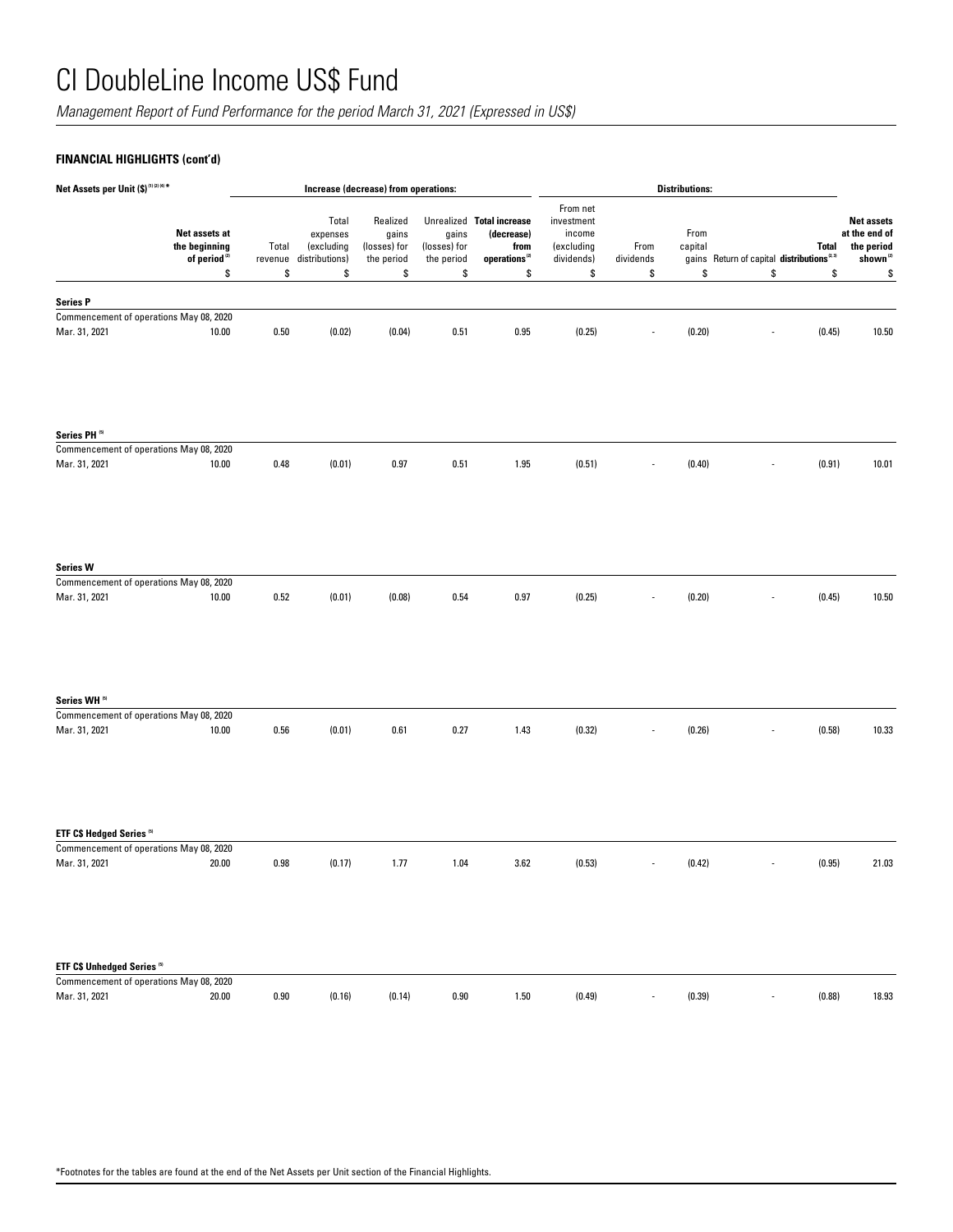*Management Report of Fund Performance for the period March 31, 2021 (Expressed in US\$)*

## **FINANCIAL HIGHLIGHTS (cont'd)**

| Net Assets per Unit (\$) <sup>(1)(2)(4)*</sup>                                 |                                                                  |                        | Increase (decrease) from operations:                    |                                                       |                                           | <b>Distributions:</b>                                                                                    |                                                                    |                          |                       |                                                                      |                                                                                      |
|--------------------------------------------------------------------------------|------------------------------------------------------------------|------------------------|---------------------------------------------------------|-------------------------------------------------------|-------------------------------------------|----------------------------------------------------------------------------------------------------------|--------------------------------------------------------------------|--------------------------|-----------------------|----------------------------------------------------------------------|--------------------------------------------------------------------------------------|
|                                                                                | Net assets at<br>the beginning<br>of period <sup>(2)</sup><br>\$ | Total<br>revenue<br>\$ | Total<br>expenses<br>(excluding<br>distributions)<br>\$ | Realized<br>gains<br>(losses) for<br>the period<br>\$ | gains<br>(losses) for<br>the period<br>\$ | Unrealized Total increase<br>(decrease)<br>from<br>$\mathbf{operations}^{\scriptscriptstyle{(2)}}$<br>\$ | From net<br>investment<br>income<br>(excluding<br>dividends)<br>\$ | From<br>dividends<br>\$  | From<br>capital<br>\$ | Total<br>gains Return of capital distributions <sup>2,31</sup><br>\$ | <b>Net assets</b><br>at the end of<br>the period<br>shown <sup>(2)</sup><br>\$<br>\$ |
|                                                                                |                                                                  |                        |                                                         |                                                       |                                           |                                                                                                          |                                                                    |                          |                       |                                                                      |                                                                                      |
| <b>Series P</b>                                                                |                                                                  |                        |                                                         |                                                       |                                           |                                                                                                          |                                                                    |                          |                       |                                                                      |                                                                                      |
| Commencement of operations May 08, 2020<br>Mar. 31, 2021                       |                                                                  |                        | (0.02)                                                  | (0.04)                                                |                                           | 0.95                                                                                                     | (0.25)                                                             |                          | (0.20)                | (0.45)                                                               |                                                                                      |
|                                                                                | 10.00                                                            | 0.50                   |                                                         |                                                       | 0.51                                      |                                                                                                          |                                                                    |                          |                       |                                                                      | 10.50                                                                                |
| Series PH <sup>(5)</sup>                                                       |                                                                  |                        |                                                         |                                                       |                                           |                                                                                                          |                                                                    |                          |                       |                                                                      |                                                                                      |
| Commencement of operations May 08, 2020                                        |                                                                  |                        |                                                         |                                                       |                                           |                                                                                                          |                                                                    |                          |                       |                                                                      |                                                                                      |
| Mar. 31, 2021                                                                  | 10.00                                                            | 0.48                   | (0.01)                                                  | 0.97                                                  | 0.51                                      | 1.95                                                                                                     | (0.51)                                                             |                          | (0.40)                | (0.91)                                                               | 10.01                                                                                |
| <b>Series W</b><br>Commencement of operations May 08, 2020                     |                                                                  |                        |                                                         |                                                       |                                           |                                                                                                          |                                                                    |                          |                       |                                                                      |                                                                                      |
| Mar. 31, 2021                                                                  | 10.00                                                            | 0.52                   | (0.01)                                                  | (0.08)                                                | 0.54                                      | $0.97\,$                                                                                                 | (0.25)                                                             |                          | (0.20)                | (0.45)                                                               | 10.50                                                                                |
|                                                                                |                                                                  |                        |                                                         |                                                       |                                           |                                                                                                          |                                                                    |                          |                       |                                                                      |                                                                                      |
| Series WH <sup>51</sup>                                                        |                                                                  |                        |                                                         |                                                       |                                           |                                                                                                          |                                                                    |                          |                       |                                                                      |                                                                                      |
| Commencement of operations May 08, 2020                                        |                                                                  |                        |                                                         |                                                       |                                           |                                                                                                          |                                                                    |                          |                       |                                                                      |                                                                                      |
| Mar. 31, 2021                                                                  | 10.00                                                            | 0.56                   | (0.01)                                                  | 0.61                                                  | 0.27                                      | 1.43                                                                                                     | (0.32)                                                             |                          | (0.26)                | (0.58)                                                               | 10.33                                                                                |
| ETF C\$ Hedged Series <sup>55</sup><br>Commencement of operations May 08, 2020 |                                                                  |                        |                                                         |                                                       |                                           |                                                                                                          |                                                                    |                          |                       |                                                                      |                                                                                      |
| Mar. 31, 2021                                                                  | 20.00                                                            | 0.98                   | (0.17)                                                  | 1.77                                                  | 1.04                                      | 3.62                                                                                                     | (0.53)                                                             | $\overline{\phantom{m}}$ | (0.42)                | (0.95)                                                               | 21.03                                                                                |
|                                                                                |                                                                  |                        |                                                         |                                                       |                                           |                                                                                                          |                                                                    |                          |                       |                                                                      |                                                                                      |
| ETF C\$ Unhedged Series <sup>(5)</sup>                                         |                                                                  |                        |                                                         |                                                       |                                           |                                                                                                          |                                                                    |                          |                       |                                                                      |                                                                                      |
| Commencement of operations May 08, 2020                                        |                                                                  |                        |                                                         |                                                       |                                           |                                                                                                          |                                                                    |                          |                       |                                                                      |                                                                                      |
| Mar. 31, 2021                                                                  | 20.00                                                            | 0.90                   | (0.16)                                                  | (0.14)                                                | 0.90                                      | 1.50                                                                                                     | (0.49)                                                             | $\overline{\phantom{a}}$ | (0.39)                | (0.88)<br>$\frac{1}{2}$                                              | 18.93                                                                                |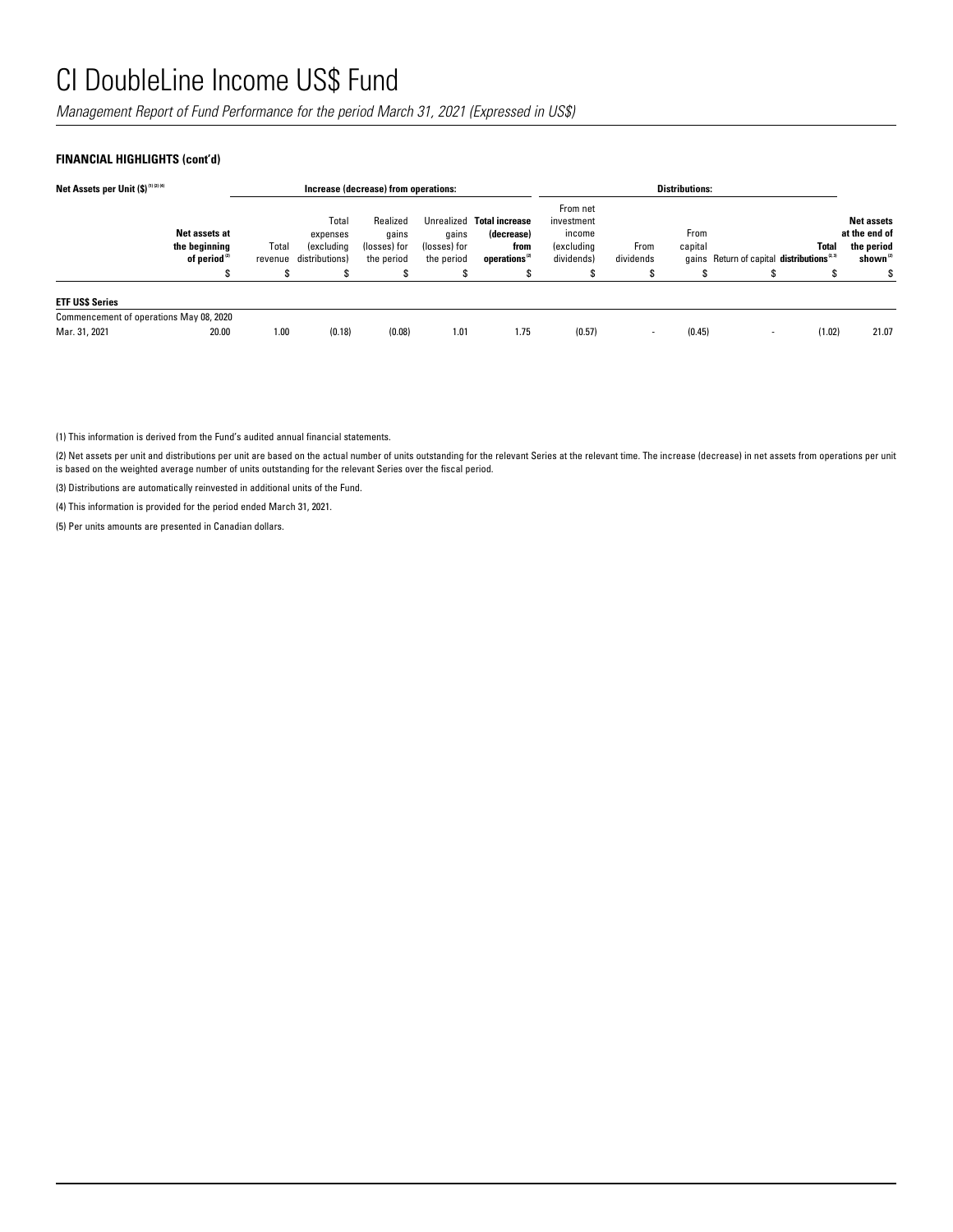*Management Report of Fund Performance for the period March 31, 2021 (Expressed in US\$)*

## **FINANCIAL HIGHLIGHTS (cont'd)**

| Net Assets per Unit (\$)(1)(2)(4)       |                                                            |                            |                                                          | Increase (decrease) from operations:                 |                                          |                                                                              | <b>Distributions:</b>                                        |                   |                      |                                                      |              |                                                                    |  |
|-----------------------------------------|------------------------------------------------------------|----------------------------|----------------------------------------------------------|------------------------------------------------------|------------------------------------------|------------------------------------------------------------------------------|--------------------------------------------------------------|-------------------|----------------------|------------------------------------------------------|--------------|--------------------------------------------------------------------|--|
|                                         | Net assets at<br>the beginning<br>of period <sup>(2)</sup> | Total<br>revenue<br>œ<br>ъ | Total<br>expenses<br><i>(excluding</i><br>distributions) | Realized<br>qains<br>(losses) for<br>the period<br>S | gains<br>(losses) for<br>the period<br>S | Unrealized Total increase<br>(decrease)<br>from<br>operations <sup>(2)</sup> | From net<br>investment<br>income<br>(excluding<br>dividends) | From<br>dividends | From<br>capital<br>S | gains Return of capital distributions <sup>2,3</sup> | <b>Total</b> | <b>Net assets</b><br>at the end of<br>the period<br>shown $^{(2)}$ |  |
| <b>ETF USS Series</b>                   |                                                            |                            |                                                          |                                                      |                                          |                                                                              |                                                              |                   |                      |                                                      |              |                                                                    |  |
| Commencement of operations May 08, 2020 |                                                            |                            |                                                          |                                                      |                                          |                                                                              |                                                              |                   |                      |                                                      |              |                                                                    |  |
| Mar. 31, 2021                           | 20.00                                                      | 1.00                       | (0.18)                                                   | (0.08)                                               | 1.01                                     | 1.75                                                                         | (0.57)                                                       | -                 | (0.45)               |                                                      | (1.02)       | 21.07                                                              |  |

(1) This information is derived from the Fund's audited annual financial statements.

(2) Net assets per unit and distributions per unit are based on the actual number of units outstanding for the relevant Series at the relevant time. The increase (decrease) in net assets from operations per unit is based on the weighted average number of units outstanding for the relevant Series over the fiscal period.

(3) Distributions are automatically reinvested in additional units of the Fund.

(4) This information is provided for the period ended March 31, 2021.

(5) Per units amounts are presented in Canadian dollars.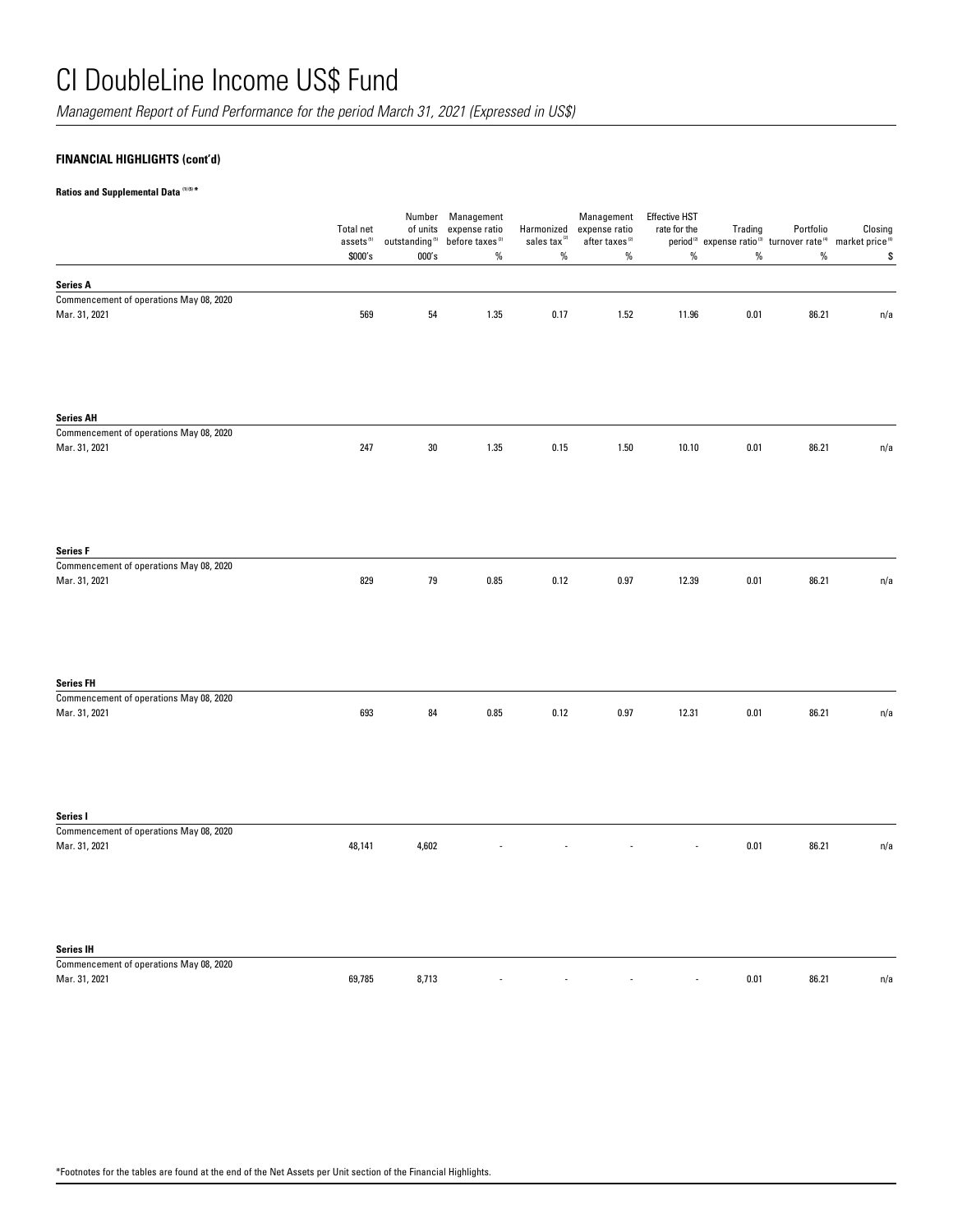*Management Report of Fund Performance for the period March 31, 2021 (Expressed in US\$)*

## **FINANCIAL HIGHLIGHTS (cont'd)**

### **Ratios and Supplemental Data (1) (5) \***

|                                                          | <b>Total net</b><br>assets <sup>(5)</sup><br>\$000's | of units<br>outstanding $^{\rm (5)}$<br>000's | Number Management<br>expense ratio<br>before taxes <sup>(2)</sup><br>$\%$ | Harmonized<br>sales tax <sup>(2)</sup><br>$\%$ | Management<br>expense ratio<br>after taxes <sup>(2)</sup><br>$\%$ | <b>Effective HST</b><br>rate for the<br>$\%$ | Trading<br>$\%$ | Portfolio<br>period <sup>(2)</sup> expense ratio <sup>(3)</sup> turnover rate <sup>(4)</sup> market price <sup>(6)</sup><br>$\%$ | Closing<br>\$ |
|----------------------------------------------------------|------------------------------------------------------|-----------------------------------------------|---------------------------------------------------------------------------|------------------------------------------------|-------------------------------------------------------------------|----------------------------------------------|-----------------|----------------------------------------------------------------------------------------------------------------------------------|---------------|
| <b>Series A</b>                                          |                                                      |                                               |                                                                           |                                                |                                                                   |                                              |                 |                                                                                                                                  |               |
| Commencement of operations May 08, 2020                  |                                                      |                                               |                                                                           |                                                |                                                                   |                                              |                 |                                                                                                                                  |               |
| Mar. 31, 2021                                            | 569                                                  | 54                                            | 1.35                                                                      | 0.17                                           | 1.52                                                              | 11.96                                        | 0.01            | 86.21                                                                                                                            | n/a           |
| <b>Series AH</b>                                         |                                                      |                                               |                                                                           |                                                |                                                                   |                                              |                 |                                                                                                                                  |               |
| Commencement of operations May 08, 2020<br>Mar. 31, 2021 | 247                                                  | $30\,$                                        | 1.35                                                                      | 0.15                                           | 1.50                                                              | 10.10                                        | 0.01            | 86.21                                                                                                                            | n/a           |
| <b>Series F</b>                                          |                                                      |                                               |                                                                           |                                                |                                                                   |                                              |                 |                                                                                                                                  |               |
| Commencement of operations May 08, 2020<br>Mar. 31, 2021 | 829                                                  | 79                                            | 0.85                                                                      | 0.12                                           | 0.97                                                              | 12.39                                        | 0.01            | 86.21                                                                                                                            | n/a           |
| <b>Series FH</b>                                         |                                                      |                                               |                                                                           |                                                |                                                                   |                                              |                 |                                                                                                                                  |               |
| Commencement of operations May 08, 2020<br>Mar. 31, 2021 | 693                                                  | 84                                            | 0.85                                                                      | 0.12                                           | 0.97                                                              | 12.31                                        | 0.01            | 86.21                                                                                                                            | n/a           |
| Series I                                                 |                                                      |                                               |                                                                           |                                                |                                                                   |                                              |                 |                                                                                                                                  |               |
| Commencement of operations May 08, 2020<br>Mar. 31, 2021 | 48,141                                               | 4,602                                         |                                                                           |                                                |                                                                   |                                              | 0.01            | 86.21                                                                                                                            | n/a           |
| <b>Series IH</b>                                         |                                                      |                                               |                                                                           |                                                |                                                                   |                                              |                 |                                                                                                                                  |               |
| Commencement of operations May 08, 2020<br>Mar. 31, 2021 | 69,785                                               | 8,713                                         |                                                                           |                                                |                                                                   |                                              | 0.01            | 86.21                                                                                                                            | n/a           |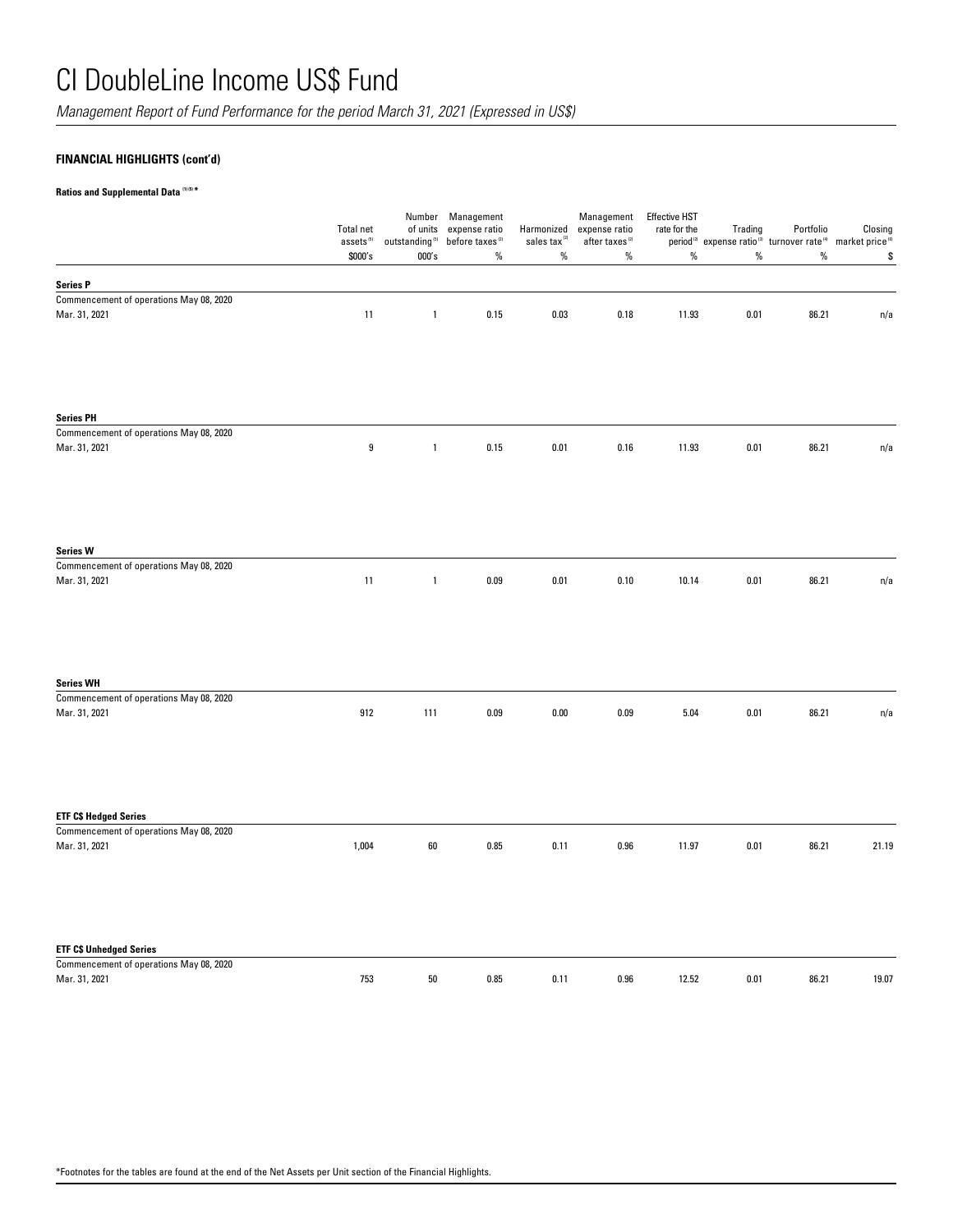*Management Report of Fund Performance for the period March 31, 2021 (Expressed in US\$)*

## **FINANCIAL HIGHLIGHTS (cont'd)**

### **Ratios and Supplemental Data (1) (5) \***

|                                                                         | <b>Total net</b><br>$\mathsf{assets}^{\scriptscriptstyle(5)}$<br>\$000's | of units<br>outstanding $^{\scriptscriptstyle{(5)}}$<br>000's | Number Management<br>expense ratio<br>before taxes <sup>(2)</sup><br>$\%$ | Harmonized<br>sales tax $\alpha$<br>$\%$ | Management<br>expense ratio<br>after taxes <sup>(2)</sup><br>$\%$ | <b>Effective HST</b><br>rate for the<br>$\%$ | Trading<br>$\%$ | Portfolio<br>period <sup>(2)</sup> expense ratio <sup>(3)</sup> turnover rate <sup>(4)</sup> market price <sup>(6)</sup><br>$\%$ | $\mathsf{Closing}$<br>\$ |
|-------------------------------------------------------------------------|--------------------------------------------------------------------------|---------------------------------------------------------------|---------------------------------------------------------------------------|------------------------------------------|-------------------------------------------------------------------|----------------------------------------------|-----------------|----------------------------------------------------------------------------------------------------------------------------------|--------------------------|
| <b>Series P</b>                                                         |                                                                          |                                                               |                                                                           |                                          |                                                                   |                                              |                 |                                                                                                                                  |                          |
| Commencement of operations May 08, 2020<br>Mar. 31, 2021                | 11                                                                       | $\mathbf{1}$                                                  | $0.15\,$                                                                  | $0.03\,$                                 | 0.18                                                              | 11.93                                        | 0.01            | 86.21                                                                                                                            | n/a                      |
| <b>Series PH</b>                                                        |                                                                          |                                                               |                                                                           |                                          |                                                                   |                                              |                 |                                                                                                                                  |                          |
| Commencement of operations May 08, 2020                                 |                                                                          |                                                               |                                                                           |                                          |                                                                   |                                              |                 |                                                                                                                                  |                          |
| Mar. 31, 2021                                                           | 9                                                                        | $\mathbf{1}$                                                  | 0.15                                                                      | 0.01                                     | 0.16                                                              | 11.93                                        | 0.01            | 86.21                                                                                                                            | n/a                      |
| <b>Series W</b>                                                         |                                                                          |                                                               |                                                                           |                                          |                                                                   |                                              |                 |                                                                                                                                  |                          |
| Commencement of operations May 08, 2020<br>Mar. 31, 2021                | 11                                                                       | $\mathbf{1}$                                                  | 0.09                                                                      | 0.01                                     | 0.10                                                              | 10.14                                        | 0.01            | 86.21                                                                                                                            | n/a                      |
| <b>Series WH</b><br>Commencement of operations May 08, 2020             |                                                                          |                                                               |                                                                           |                                          |                                                                   |                                              |                 |                                                                                                                                  |                          |
| Mar. 31, 2021                                                           | 912                                                                      | 111                                                           | 0.09                                                                      | 0.00                                     | 0.09                                                              | 5.04                                         | 0.01            | 86.21                                                                                                                            | n/a                      |
|                                                                         |                                                                          |                                                               |                                                                           |                                          |                                                                   |                                              |                 |                                                                                                                                  |                          |
| <b>ETF C\$ Hedged Series</b><br>Commencement of operations May 08, 2020 |                                                                          |                                                               |                                                                           |                                          |                                                                   |                                              |                 |                                                                                                                                  |                          |
| Mar. 31, 2021                                                           | 1,004                                                                    | 60                                                            | 0.85                                                                      | 0.11                                     | 0.96                                                              | 11.97                                        | 0.01            | 86.21                                                                                                                            | 21.19                    |
| <b>ETF C\$ Unhedged Series</b>                                          |                                                                          |                                                               |                                                                           |                                          |                                                                   |                                              |                 |                                                                                                                                  |                          |
| Commencement of operations May 08, 2020<br>Mar. 31, 2021                | 753                                                                      | $50\,$                                                        | 0.85                                                                      | 0.11                                     | 0.96                                                              | 12.52                                        | 0.01            | 86.21                                                                                                                            | 19.07                    |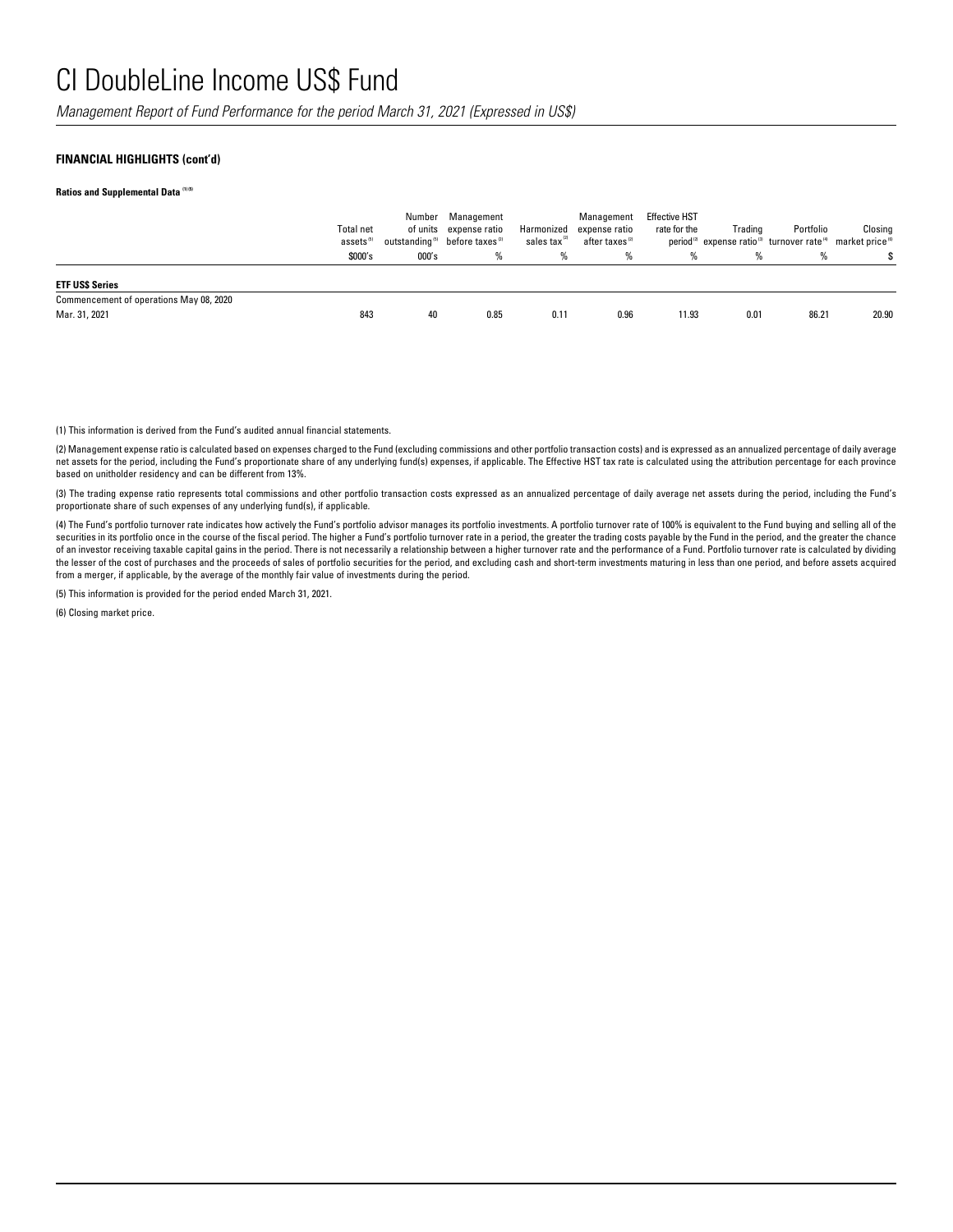*Management Report of Fund Performance for the period March 31, 2021 (Expressed in US\$)*

#### **FINANCIAL HIGHLIGHTS (cont'd)**

**Ratios and Supplemental Data (1) (5)** 

|                                         | Total net<br>assets <sup>(5)</sup> |       | Number Management<br>of units expense ratio<br>outstanding <sup>6</sup> before taxes <sup>(2)</sup> | Harmonized<br>sales tax <sup>121</sup> | Management<br>expense ratio<br>after taxes (2) | <b>Effective HST</b><br>rate for the | Trading | Portfolio<br>period <sup>(2)</sup> expense ratio <sup>(3)</sup> turnover rate <sup>(4)</sup> market price <sup>(6)</sup> | Closing |
|-----------------------------------------|------------------------------------|-------|-----------------------------------------------------------------------------------------------------|----------------------------------------|------------------------------------------------|--------------------------------------|---------|--------------------------------------------------------------------------------------------------------------------------|---------|
|                                         | \$000's                            | 000's | %                                                                                                   | %                                      | %                                              | %                                    | %       | %                                                                                                                        |         |
| <b>ETF USS Series</b>                   |                                    |       |                                                                                                     |                                        |                                                |                                      |         |                                                                                                                          |         |
| Commencement of operations May 08, 2020 |                                    |       |                                                                                                     |                                        |                                                |                                      |         |                                                                                                                          |         |
| Mar. 31, 2021                           | 843                                | 40    | 0.85                                                                                                | 0.11                                   | 0.96                                           | 11.93                                | 0.01    | 86.21                                                                                                                    | 20.90   |
|                                         |                                    |       |                                                                                                     |                                        |                                                |                                      |         |                                                                                                                          |         |

(1) This information is derived from the Fund's audited annual financial statements.

(2) Management expense ratio is calculated based on expenses charged to the Fund (excluding commissions and other portfolio transaction costs) and is expressed as an annualized percentage of daily average net assets for the period, including the Fund's proportionate share of any underlying fund(s) expenses, if applicable. The Effective HST tax rate is calculated using the attribution percentage for each province based on unitholder residency and can be different from 13%.

(3) The trading expense ratio represents total commissions and other portfolio transaction costs expressed as an annualized percentage of daily average net assets during the period, including the Fund's proportionate share of such expenses of any underlying fund(s), if applicable.

(4) The Fund's portfolio turnover rate indicates how actively the Fund's portfolio advisor manages its portfolio investments. A portfolio turnover rate of 100% is equivalent to the Fund buying and selling all of the securities in its portfolio once in the course of the fiscal period. The higher a Fund's portfolio turnover rate in a period, the greater the trading costs payable by the Fund in the period, and the greater the chance of an investor receiving taxable capital gains in the period. There is not necessarily a relationship between a higher turnover rate and the performance of a Fund. Portfolio turnover rate is calculated by dividing the lesser of the cost of purchases and the proceeds of sales of portfolio securities for the period, and excluding cash and short-term investments maturing in less than one period, and before assets acquired from a merger, if applicable, by the average of the monthly fair value of investments during the period.

(5) This information is provided for the period ended March 31, 2021.

(6) Closing market price.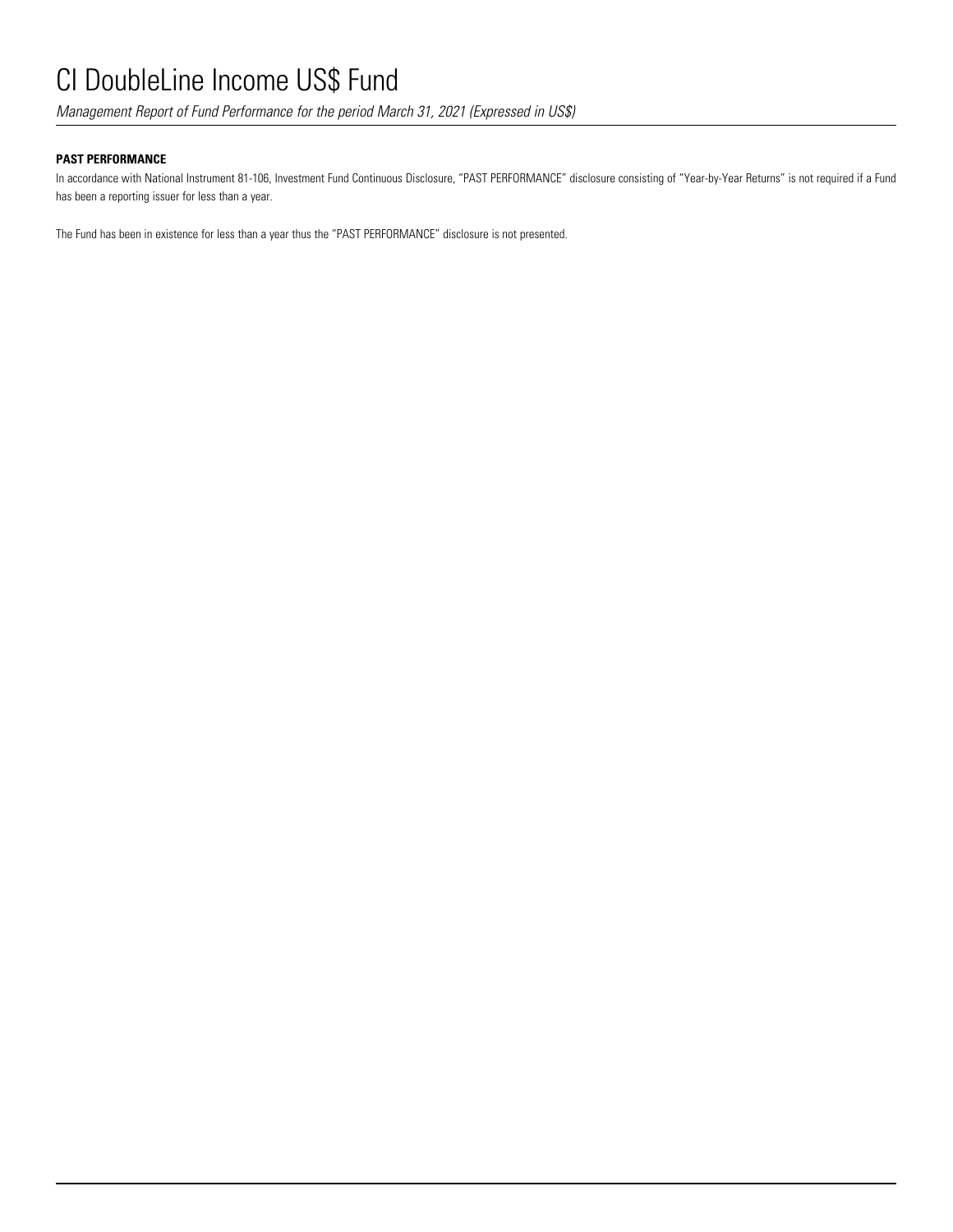*Management Report of Fund Performance for the period March 31, 2021 (Expressed in US\$)*

## **PAST PERFORMANCE**

In accordance with National Instrument 81-106, Investment Fund Continuous Disclosure, "PAST PERFORMANCE" disclosure consisting of "Year-by-Year Returns" is not required if a Fund has been a reporting issuer for less than a year.

The Fund has been in existence for less than a year thus the "PAST PERFORMANCE" disclosure is not presented.